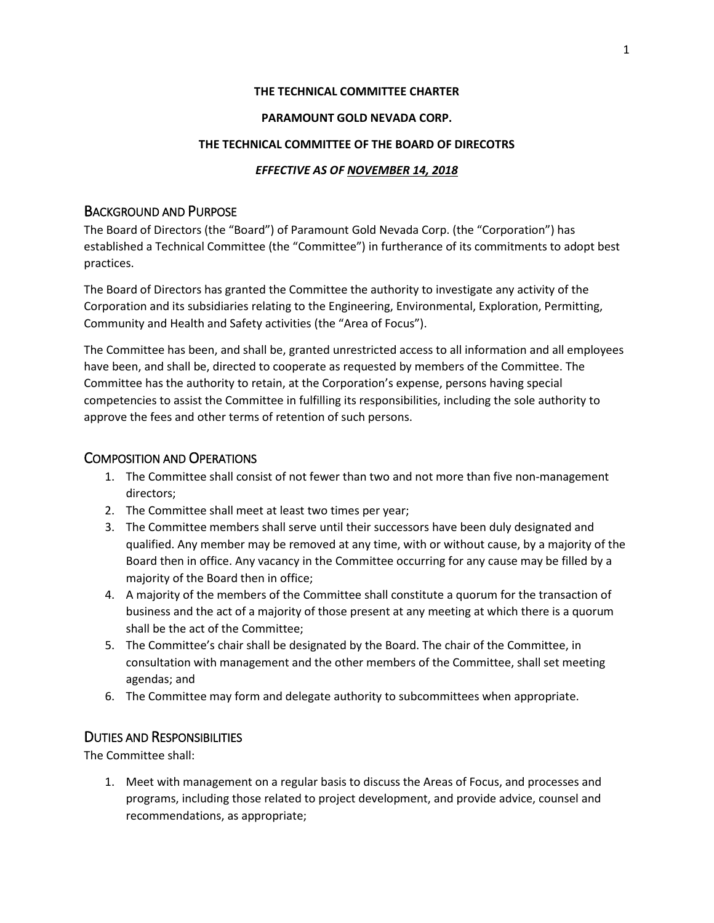### **THE TECHNICAL COMMITTEE CHARTER**

### **PARAMOUNT GOLD NEVADA CORP.**

#### **THE TECHNICAL COMMITTEE OF THE BOARD OF DIRECOTRS**

### *EFFECTIVE AS OF NOVEMBER 14, 2018*

### BACKGROUND AND PURPOSE

The Board of Directors (the "Board") of Paramount Gold Nevada Corp. (the "Corporation") has established a Technical Committee (the "Committee") in furtherance of its commitments to adopt best practices.

The Board of Directors has granted the Committee the authority to investigate any activity of the Corporation and its subsidiaries relating to the Engineering, Environmental, Exploration, Permitting, Community and Health and Safety activities (the "Area of Focus").

The Committee has been, and shall be, granted unrestricted access to all information and all employees have been, and shall be, directed to cooperate as requested by members of the Committee. The Committee has the authority to retain, at the Corporation's expense, persons having special competencies to assist the Committee in fulfilling its responsibilities, including the sole authority to approve the fees and other terms of retention of such persons.

### COMPOSITION AND OPERATIONS

- 1. The Committee shall consist of not fewer than two and not more than five non-management directors;
- 2. The Committee shall meet at least two times per year;
- 3. The Committee members shall serve until their successors have been duly designated and qualified. Any member may be removed at any time, with or without cause, by a majority of the Board then in office. Any vacancy in the Committee occurring for any cause may be filled by a majority of the Board then in office;
- 4. A majority of the members of the Committee shall constitute a quorum for the transaction of business and the act of a majority of those present at any meeting at which there is a quorum shall be the act of the Committee;
- 5. The Committee's chair shall be designated by the Board. The chair of the Committee, in consultation with management and the other members of the Committee, shall set meeting agendas; and
- 6. The Committee may form and delegate authority to subcommittees when appropriate.

## DUTIES AND RESPONSIBILITIES

The Committee shall:

1. Meet with management on a regular basis to discuss the Areas of Focus, and processes and programs, including those related to project development, and provide advice, counsel and recommendations, as appropriate;